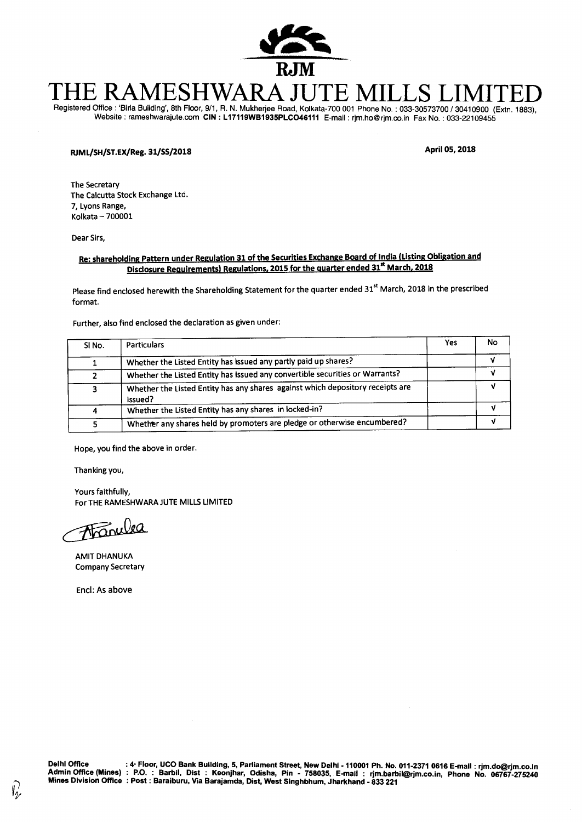

# TE RAMESHWARA JUTE M

Registered Office : 'Birla Building', 8th Floor, 9/1, R. N. Mukherjee Road, Kolkata-700 001 Phone No. : 033-30573700 / 30410900 (Extn. 1883), Website : rameshwarajute.com **CIN : L17119WB1935PLC046111** E-mail : rjm.ho@rjm.co.in Fax No. : 033-22109455

### **FLIML/SH/ST.EX/Reg. 31/55/2018 April 05, 2018**

The Secretary The Calcutta Stock Exchange Ltd. 7, Lyons Range, Kolkata — 700001

Dear Sirs,

#### **Re: shareholding Pattern under Regulation 31 of the Securities Exchange Board of India (Listing Obligation and Disclosure Requirements) Regulations, 2015 for the quarter ended 31<sup>st</sup> March, 2018**

Please find enclosed herewith the Shareholding Statement for the quarter ended 31<sup>st</sup> March, 2018 in the prescribed format.

Further, also find enclosed the declaration as given under:

| SINO. | <b>Particulars</b>                                                                        | Yes | No |
|-------|-------------------------------------------------------------------------------------------|-----|----|
|       | Whether the Listed Entity has issued any partly paid up shares?                           |     |    |
| າ     | Whether the Listed Entity has issued any convertible securities or Warrants?              |     |    |
|       | Whether the Listed Entity has any shares against which depository receipts are<br>issued? |     |    |
|       | Whether the Listed Entity has any shares in locked-in?                                    |     |    |
|       | Whether any shares held by promoters are pledge or otherwise encumbered?                  |     |    |

Hope, you find the above in order.

Thanking you,

Yours faithfully, For THE RAMESHWARA JUTE MILLS LIMITED

Francea

AMIT DHANUKA Company Secretary

Encl: As above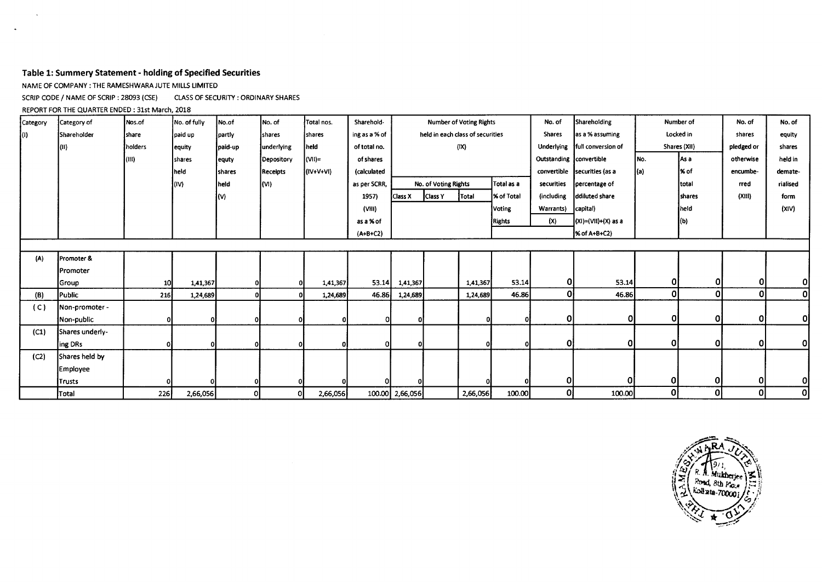#### **Table 1: Summery Statement - holding of Specified Securities**

NAME OF COMPANY : THE RAMESHWARA JUTE MILLS LIMITED

SCRIP CODE / NAME OF SCRIP : 28093 (CSE) CLASS OF SECURITY : ORDINARY SHARES

REPORT FOR THE QUARTER ENDED : 31st March, 2018

 $\ddot{\phantom{a}}$ 

| Category | Category of      | Nos.of     | No. of fully | No.of         | No. of      | Total nos.  | Sharehold-     | <b>Number of Voting Rights</b> |                      |                                  |                   | Shareholding<br>No. of  |                              |      | Number of     |            | No. of   |
|----------|------------------|------------|--------------|---------------|-------------|-------------|----------------|--------------------------------|----------------------|----------------------------------|-------------------|-------------------------|------------------------------|------|---------------|------------|----------|
| IO)      | Shareholder      | [share     | paid up      | partly        | shares      | shares      | ing as a % of  |                                |                      | held in each class of securities |                   | <b>Shares</b>           | as a % assuming              |      | Locked in     |            | equity   |
|          | l (II)           | holders    | equity       | paid-up       | lunderlying | held        | of total no.   |                                |                      | (IX)                             |                   | Underlying              | full conversion of           |      | Shares (XII)  | pledged or | shares   |
|          |                  | (III)      | shares       | equty         | Depository  | (VII)=      | of shares      |                                |                      |                                  |                   | Outstanding convertible |                              | INo. | As a          | otherwise  | held in  |
|          |                  |            | held         | <b>Shares</b> | Receipts    | $(IV+V+VI)$ | (calculated    |                                |                      |                                  |                   |                         | convertible securities (as a | ](a) | ∤% of         | encumbe-   | demate-  |
|          |                  |            | (IV)         | lheid.        | kvi)        |             | as per SCRR,   |                                | No. of Voting Rights |                                  | Total as a        | securities              | percentage of                |      | <b>Itotal</b> | rred       | rialised |
|          |                  |            |              | (V)           |             |             | 1957)          | Class X                        | Class Y              | Total                            | <b>K</b> of Total | (including              | ddiluted share               |      | <b>Shares</b> | (XIII)     | form     |
|          |                  |            |              |               |             |             | (VIII)         |                                |                      |                                  | Voting            | Warrants)               | capital)                     |      | held          |            | (XIV)    |
|          |                  |            |              |               |             |             | as a % of      |                                |                      |                                  | <b>Rights</b>     | (x)                     | $(XI) = (VII) + (X)$ as a    |      | $\vert$ (b)   |            |          |
|          |                  |            |              |               |             |             | $(A + B + C2)$ |                                |                      |                                  |                   |                         | <b>K of A+B+C2)</b>          |      |               |            |          |
|          |                  |            |              |               |             |             |                |                                |                      |                                  |                   |                         |                              |      |               |            |          |
| (A)      | Promoter &       |            |              |               |             |             |                |                                |                      |                                  |                   |                         |                              |      |               |            |          |
|          | <b>IPromoter</b> |            |              |               |             |             |                |                                |                      |                                  |                   |                         |                              |      |               |            |          |
|          | Group            | <b>10</b>  | 1,41,367     |               |             | 1,41,367    | 53.14          | 1,41,367                       |                      | 1,41,367                         | 53.14             | 0                       | 53.14                        | 01   | $\Omega$      | Οl         | Οl       |
| (B)      | Public           | <b>216</b> | 1,24,689     |               |             | 1,24,689    | 46.86          | 1,24,689                       |                      | 1,24,689                         | 46.86             | Οl                      | 46.86                        | Ol   | $\Omega$      | $\Omega$   | 0        |
| (C)      | Non-promoter -   |            |              |               |             |             |                |                                |                      |                                  |                   |                         |                              |      |               |            |          |
|          | Non-public       |            |              |               |             |             |                |                                |                      |                                  | 01                | 0                       | 0                            | 01   | 0             | 0          | Οl       |
| (C1)     | Shares underly-  |            |              |               |             |             |                |                                |                      |                                  |                   |                         |                              |      |               |            |          |
|          | ing DRs          |            |              |               |             |             |                |                                |                      |                                  |                   | Οl                      |                              | 0l   | $\Omega$      | $\Omega$   | οl       |
| (C2)     | Shares held by   |            |              |               |             |             |                |                                |                      |                                  |                   |                         |                              |      |               |            |          |
|          | Employee         |            |              |               |             |             |                |                                |                      |                                  |                   |                         |                              |      |               |            |          |
|          | <b>Trusts</b>    |            |              | οI            |             |             |                |                                |                      |                                  |                   | 0                       |                              | 01   | 0l            | 0          | Οl       |
|          | Total            | 226        | 2,66,056     | οI            | 0           | 2,66,056    |                | 100.00 2,66,056                |                      | 2,66,056                         | 100.00            | 01                      | 100.00                       | 0    | Οl            | 0          | 0        |

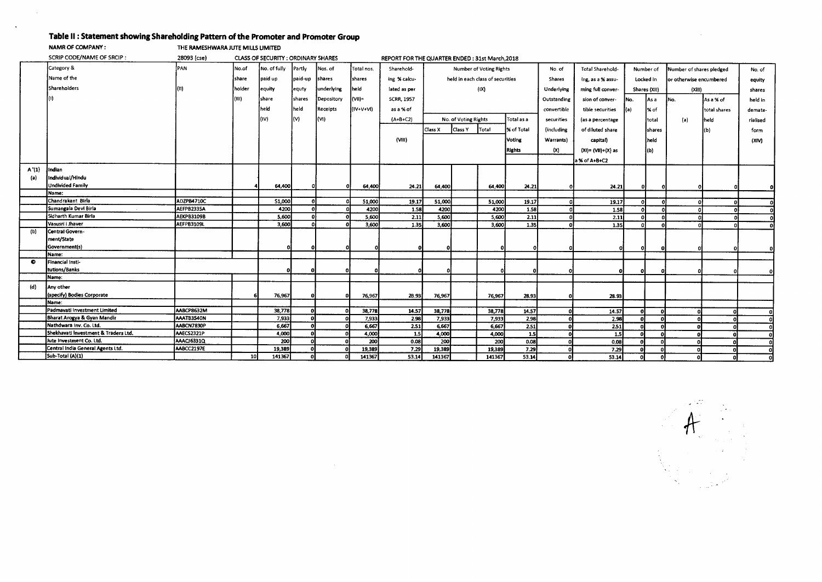## **Table II : Statement showing Shareholding Pattern of the Promoter and Promoter Group**

**NAMR OF COMPANY : THE RAMESHWARA JUTE MILLS UMITED** 

 $\sim$ 

 $\ddot{\phantom{a}}$ 

|       | SCRIP CODE/NAME OF SRCIP:            | 28093 (cse)       |                 | CLASS OF SECURITY: ORDINARY SHARES |         |            |             | REPORT FOR THE QUARTER ENDED: 31st March.2018 |                         |                      |                                  |            |                         |                       |           |                          |                         |              |          |
|-------|--------------------------------------|-------------------|-----------------|------------------------------------|---------|------------|-------------|-----------------------------------------------|-------------------------|----------------------|----------------------------------|------------|-------------------------|-----------------------|-----------|--------------------------|-------------------------|--------------|----------|
|       | Category &                           | PAN               | No.of           | No. of fully                       | Partly  | Nos. of    | Total nos.  | Sharehold-                                    | Number of Voting Rights |                      |                                  | No. of     | <b>Total Sharehold-</b> | Number of             |           | Number of shares pledged |                         | No. of       |          |
|       | Name of the                          |                   | share           | paid up                            | paid-up | shares     | shares      | ing % calcu-                                  |                         |                      | held in each class of securities |            | Shares                  | ing, as a % assu-     | Locked in |                          | or otherwise encumbered |              | equity   |
|       | Shareholders                         |                   | holder          | equity                             | equty   | underlying | heid        | lated as per                                  |                         |                      | (IX)                             |            | Underlying              | ming full conver-     |           | Shares (XII)             | (XIII)                  |              | shares   |
|       |                                      |                   | l(III)          | share                              | shares  | Depository | l(VII)=     | <b>SCRR, 1957</b>                             |                         |                      |                                  |            | Outstanding             | sion of conver-       | Mo.       | As a                     | İNo.                    | As a % of    | held in  |
|       |                                      |                   |                 | held                               | held    | Receipts   | $(IV+V+VI)$ | as a % of                                     |                         |                      |                                  |            | convertible             | tible securities      |           | % of                     |                         | total shares | demate-  |
|       |                                      |                   |                 | (IV)                               | (V)     | (VI)       |             | $(A + B + C2)$                                |                         | No. of Voting Rights |                                  | Total as a |                         |                       |           |                          |                         |              |          |
|       |                                      |                   |                 |                                    |         |            |             |                                               |                         |                      |                                  |            | securities              | (as a percentage      |           | total                    | (a)                     | held         | rialised |
|       |                                      |                   |                 |                                    |         |            |             |                                               | Class X                 | Class Y              | Total                            | % of Total | <i>(including</i>       | of diluted share      |           | shares                   |                         | ίЫ           | form     |
|       |                                      |                   |                 |                                    |         |            |             | (VIII)                                        |                         | Voting               |                                  |            | Warrants)               | capital)              |           | l held                   |                         |              | (XIV)    |
|       |                                      |                   |                 |                                    |         |            |             |                                               |                         | Rights               |                                  |            | (x)                     | $(XI) = (VII)+(X)$ as |           | Î(b)                     |                         |              |          |
|       |                                      |                   |                 |                                    |         |            |             |                                               |                         |                      |                                  |            |                         | a % of A+B+C2         |           |                          |                         |              |          |
| A'(1) | Indian                               |                   |                 |                                    |         |            |             |                                               |                         |                      |                                  |            |                         |                       |           |                          |                         |              |          |
| (a)   | Individual/Hindu                     |                   |                 |                                    |         |            |             |                                               |                         |                      |                                  |            |                         |                       |           |                          |                         |              |          |
|       | <b>Undivided Family</b>              |                   |                 | 64,400                             |         |            | 64,400      | 24.21                                         | 64,400                  |                      | 64,400                           | 24.21      |                         | 24.21                 | -01       |                          |                         |              |          |
|       | Name:                                |                   |                 |                                    |         |            |             |                                               |                         |                      |                                  |            |                         |                       |           |                          |                         |              |          |
|       | Chandrakant Birla                    | ADZPB4710C        |                 | S1,000                             |         |            | 51,000      | 19.17                                         | 51,000                  |                      | 51,000                           | 19.17      | n                       | 19.17                 | $\Omega$  |                          |                         |              |          |
|       | Sumangala Devi Birla                 | AEFPB2335A        |                 | 4200                               |         |            | 4200        | 1.58                                          | 4200                    |                      | 4200                             | 1.58       |                         | 1.58                  |           |                          |                         |              |          |
|       | Sidharth Kumar Birla                 | <b>AEKPB3109B</b> |                 | 5,600                              |         |            | 5,600       | 2.11                                          | 5,600                   |                      | 5,600                            | 2.11       | Ω                       | 2.11                  | $\Omega$  |                          |                         |              | ΩL       |
|       | Vasusri i Jhaver                     | AEFPB3109L        |                 | 3,600                              |         |            | 3,600       | 1.35                                          | 3,600                   |                      | 3,600                            | 1.35       |                         | 1.35                  | n         |                          |                         |              |          |
| (b)   | Central Govern-                      |                   |                 |                                    |         |            |             |                                               |                         |                      |                                  |            |                         |                       |           |                          |                         |              |          |
|       | ment/State                           |                   |                 |                                    |         |            |             |                                               |                         |                      |                                  |            |                         |                       |           |                          |                         |              |          |
|       | Government(s)                        |                   |                 |                                    |         |            |             |                                               |                         |                      | o                                |            |                         |                       | -n.       |                          |                         |              |          |
|       | Name:                                |                   |                 |                                    |         |            |             |                                               |                         |                      |                                  |            |                         |                       |           |                          |                         |              |          |
| e     | Financial Insti-                     |                   |                 |                                    |         |            |             |                                               |                         |                      |                                  |            |                         |                       |           |                          |                         |              |          |
|       | tutions/Banks                        |                   |                 | ŋ                                  |         |            |             |                                               |                         |                      |                                  |            |                         |                       | 0         |                          |                         |              |          |
|       | Name:                                |                   |                 |                                    |         |            |             |                                               |                         |                      |                                  |            |                         |                       |           |                          |                         |              |          |
| (d)   | Any other                            |                   |                 |                                    |         |            |             |                                               |                         |                      |                                  |            |                         |                       |           |                          |                         |              |          |
|       | (specify) Bodies Corporate           |                   |                 | 76,967                             |         | n          | 76,967      | 2B.93                                         | 76,967                  |                      | 76,967                           | 28.93      |                         | 28.93                 |           |                          |                         |              |          |
|       | Name:                                |                   |                 |                                    |         |            |             |                                               |                         |                      |                                  |            |                         |                       |           |                          |                         |              |          |
|       | Padmavati Investment Limited         | AABCP8632M        |                 | 38,778                             |         | n.         | 38,778      | 14.57                                         | 38,778                  |                      | 38,778                           | 14.57      |                         | 14.57                 | - Ol      |                          |                         |              |          |
|       | Bharat Arogya & Gyan Mandir          | AAATB3540N        |                 | 7,933                              |         |            | 7,933       | 2.98                                          | 7,933                   |                      | 7,933                            | 2.98       |                         | 2.98                  |           |                          |                         |              |          |
|       | Nathdwara Inv. Co. Ltd.              | AABCN7830P        |                 | 6,667                              |         | $\Omega$   | 6,667       | 2.51                                          | 6,667                   |                      | 6,667                            | 2.51       |                         | 2.51                  |           |                          |                         |              |          |
|       | Shekhavati Investment & Traders Ltd. | AAECS2321P        |                 | 4,000                              |         |            | 4,000       | 1.5                                           | 4,000                   |                      | 4,000                            | 1.5        |                         | 1.5                   |           |                          |                         |              |          |
|       | Jute Investment Co. Ltd.             | <b>AAACJ6331Q</b> |                 | 200                                |         |            | 200         | 0.08                                          | 200                     |                      | 200                              | 0.08       |                         | 0.08                  |           |                          |                         |              |          |
|       | Central India General Agents Ltd.    | AABCC2197E        |                 | 19,389                             |         |            | 19,389      | 7.29                                          | 19,389                  |                      | 19,389                           | 7.29       |                         | 7.29                  |           |                          |                         |              |          |
|       | Sub-Total (A)(1)                     |                   | 10 <sup>1</sup> | 141367                             |         |            | 141367      | 53.14                                         | 141367                  |                      | 141367                           | 53.14      |                         | 53.14                 | n         |                          |                         |              |          |

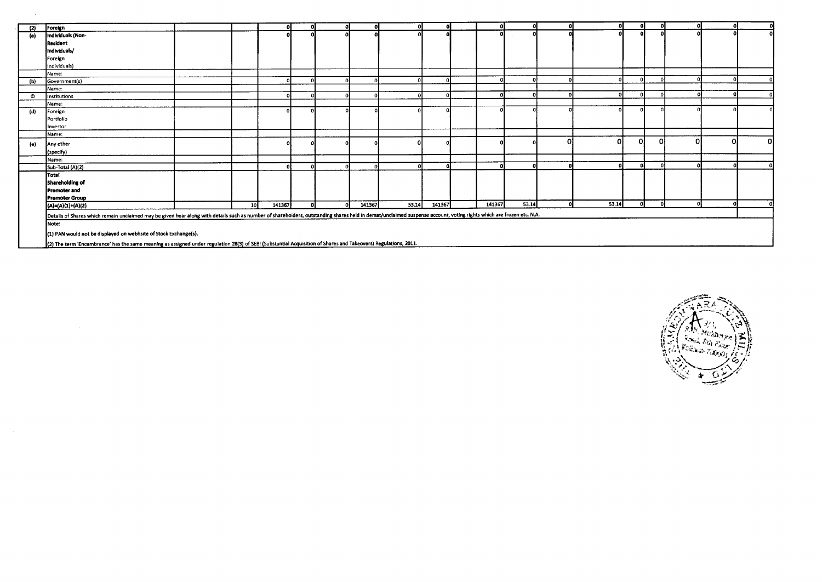| (2) | Foreign                                                                                                                                                                                                             |     | ึกเ    |   |        |       |        |        |       | $\mathbf{r}$ | οI       | -nl      | $\mathbf{r}$ | n١           | ٨I |
|-----|---------------------------------------------------------------------------------------------------------------------------------------------------------------------------------------------------------------------|-----|--------|---|--------|-------|--------|--------|-------|--------------|----------|----------|--------------|--------------|----|
| (a) | Individuals (Non-                                                                                                                                                                                                   |     |        |   |        |       |        |        |       |              | $\Omega$ |          |              |              | n  |
|     | Resident                                                                                                                                                                                                            |     |        |   |        |       |        |        |       |              |          |          |              |              |    |
|     | Individuals/                                                                                                                                                                                                        |     |        |   |        |       |        |        |       |              |          |          |              |              |    |
|     | Foreign                                                                                                                                                                                                             |     |        |   |        |       |        |        |       |              |          |          |              |              |    |
|     | Individuals)                                                                                                                                                                                                        |     |        |   |        |       |        |        |       |              |          |          |              |              |    |
|     | Name:                                                                                                                                                                                                               |     |        |   |        |       |        |        |       |              |          |          |              |              |    |
| (b) | Government(s)                                                                                                                                                                                                       |     |        |   |        |       |        |        |       |              |          |          |              |              |    |
|     | Name:                                                                                                                                                                                                               |     |        |   |        |       |        |        |       |              |          |          |              |              |    |
| O   | Institutions                                                                                                                                                                                                        |     | പ      |   |        |       |        |        |       |              |          |          |              |              |    |
|     | Name:                                                                                                                                                                                                               |     |        |   |        |       |        |        |       |              |          |          |              |              |    |
| (d) | Foreign                                                                                                                                                                                                             |     |        |   |        |       |        |        |       |              |          |          |              |              |    |
|     | Portfolio                                                                                                                                                                                                           |     |        |   |        |       |        |        |       |              |          |          |              |              |    |
|     | Investor                                                                                                                                                                                                            |     |        |   |        |       |        |        |       |              |          |          |              |              |    |
|     | Name:                                                                                                                                                                                                               |     |        |   |        |       |        |        |       |              |          |          |              |              |    |
| (e) | Any other                                                                                                                                                                                                           |     |        |   |        |       |        |        |       |              | Ωł       | $\Omega$ | 0            | $\Omega$     |    |
|     | (specify)                                                                                                                                                                                                           |     |        |   |        |       |        |        |       |              |          |          |              |              |    |
|     | Name:                                                                                                                                                                                                               |     |        |   |        |       |        |        |       |              |          |          |              |              |    |
|     | Sub-Total (A)(2)                                                                                                                                                                                                    |     | Ωł     |   |        |       | -0     |        |       |              |          |          |              |              |    |
|     | Total                                                                                                                                                                                                               |     |        |   |        |       |        |        |       |              |          |          |              |              |    |
|     | Shareholding of                                                                                                                                                                                                     |     |        |   |        |       |        |        |       |              |          |          |              |              |    |
|     | Promoter and                                                                                                                                                                                                        |     |        |   |        |       |        |        |       |              |          |          |              |              |    |
|     | <b>Promoter Group</b>                                                                                                                                                                                               |     |        |   |        |       |        |        |       |              |          |          |              |              |    |
|     | $(A)=(A)(1)+(A)(2)$                                                                                                                                                                                                 | -10 | 141367 | n | 141367 | 53.14 | 141367 | 141367 | 53.14 |              | 53.14    |          |              | $\mathbf{r}$ |    |
|     | Details of Shares which remain unclaimed may be given hear along with details such as number of shareholders, outstanding shares held in demat/unclaimed suspense account, voting rights which are frozen etc. N.A. |     |        |   |        |       |        |        |       |              |          |          |              |              |    |
|     | Note:                                                                                                                                                                                                               |     |        |   |        |       |        |        |       |              |          |          |              |              |    |
|     |                                                                                                                                                                                                                     |     |        |   |        |       |        |        |       |              |          |          |              |              |    |
|     | (1) PAN would not be displayed on webhsite of Stock Exchange(s).                                                                                                                                                    |     |        |   |        |       |        |        |       |              |          |          |              |              |    |
|     | (2) The term 'Encumbrance' has the same meaning as assigned under regulation 28(3) of SEBI (Substantial Acquisition of Shares and Takeovers) Regulations, 2011.                                                     |     |        |   |        |       |        |        |       |              |          |          |              |              |    |

 $\sim$ 

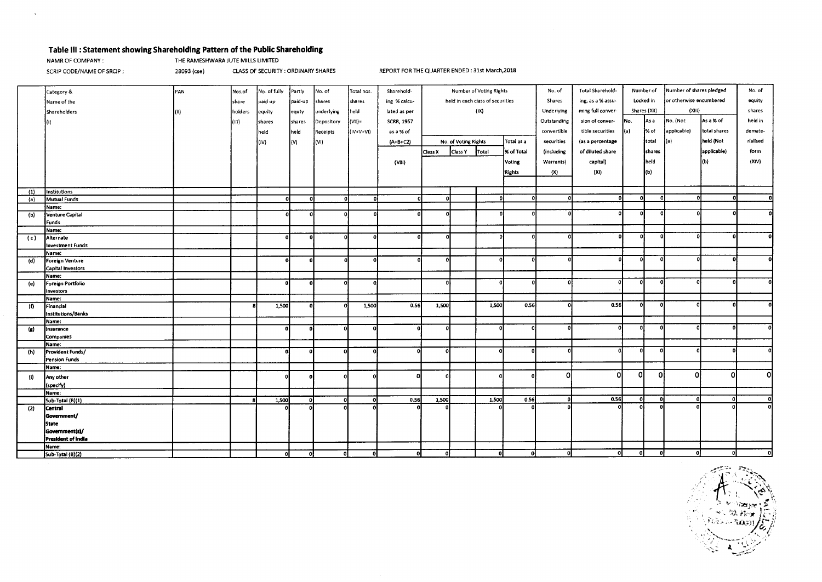#### **Table Ill : Statement showing Shareholding Pattern of the Public Shareholding**

 $\mathbf{x}$ 

**NAMR OF COMPANY :** THE RAMESHWARA JUTE MILLS LIMITED

SCRIP CODE/NAME OF SRCIP : 28093 (cse) **CLASS OF SECURITY : ORDINARY SHARES** REPORT FOR THE QUARTER ENDED : 31st March,2018

|                   | Category &              | PAN  | Nos.of  | No. of fully | Partiv   | No. of     | Total nos.  | Sharehold-        | Number of Voting Rights          |                      | No. of       | Total Sharehold-  | Number of   |                                   | Number of shares pledged |              | No. of      |              |          |
|-------------------|-------------------------|------|---------|--------------|----------|------------|-------------|-------------------|----------------------------------|----------------------|--------------|-------------------|-------------|-----------------------------------|--------------------------|--------------|-------------|--------------|----------|
|                   | Name of the             |      | share   | paid up      | paid-up  | shares     | shares      | ing % calcu-      | held in each class of securities |                      | Shares       | ing, as a % assu- | Locked in   |                                   | or otherwise encumbered  |              | equity      |              |          |
|                   | Shareholders            |      | holders |              |          | underlying | held        | lated as per      |                                  |                      | (1X)         |                   | Underlying  | ming full conver-<br>Shares (XII) |                          |              | (X  1)      |              | shares   |
|                   |                         | (11) |         | equity       | equty    |            |             |                   |                                  |                      |              |                   |             |                                   |                          |              |             |              |          |
|                   |                         |      | (m)     | shares       | shares   | Depository | $(V11) =$   | <b>SCRR, 1957</b> |                                  |                      |              |                   | Outstanding | sion of conver-                   | No.                      | As a         | No. (Not    | As a % of    | held in  |
|                   |                         |      |         | [held        | held     | Receipts   | $(IV+V+VI)$ | as a % of         |                                  |                      |              |                   | convertible | tible securities                  | l(a)                     | l% of        | applicable) | total shares | demate-  |
|                   |                         |      |         | (IV)         | (V)      | (VI)       |             | $(A+B+C2)$        |                                  | No. of Voting Rights |              | Total as a        | securities  | (as a percentage                  |                          | total        | (a)         | held (Not    | rialised |
|                   |                         |      |         |              |          |            |             |                   | Class X                          | Class Y              | Total        | % of Total        | (including  | of diluted share                  |                          | shares       |             | applicable)  | form     |
|                   |                         |      |         |              |          |            |             |                   |                                  |                      |              |                   |             |                                   |                          |              |             |              |          |
|                   |                         |      |         |              |          |            |             | (VIII)            |                                  |                      |              | Voting            | Warrants)   | capital)                          |                          | held         |             | (b)          | (XIV)    |
|                   |                         |      |         |              |          |            |             |                   |                                  |                      |              | Rights            | (X)         | (XI)                              |                          | kЫ)          |             |              |          |
|                   |                         |      |         |              |          |            |             |                   |                                  |                      |              |                   |             |                                   |                          |              |             |              |          |
| (1)               | Institutions            |      |         |              |          |            |             |                   |                                  |                      |              |                   |             |                                   |                          |              |             |              |          |
| (a)               | Mutual Funds            |      |         | ol           | -ol      | -ol        | $\Omega$    | -nl               | $\Omega$                         |                      | $\Omega$     |                   |             |                                   | $\ddot{\phantom{1}}$     |              |             |              |          |
|                   | Name:                   |      |         |              |          |            |             |                   |                                  |                      |              |                   |             |                                   |                          |              |             |              |          |
| (b)               | <b>Venture Capital</b>  |      |         |              | n        | -n.        |             |                   | n                                |                      | $\Omega$     | പ                 |             |                                   | $\Omega$                 | n            |             |              |          |
|                   | <b>Funds</b>            |      |         |              |          |            |             |                   |                                  |                      |              |                   |             |                                   |                          |              |             |              |          |
|                   | Name:                   |      |         |              |          |            |             |                   |                                  |                      |              |                   |             |                                   |                          |              |             |              |          |
| (c)               | Alternate               |      |         |              |          | $\Omega$   |             |                   |                                  |                      | O            |                   |             | n                                 | ol                       | O            |             |              |          |
|                   | <b>Investment Funds</b> |      |         |              |          |            |             |                   |                                  |                      |              |                   |             |                                   |                          |              |             |              |          |
|                   | Name:                   |      |         |              |          |            |             |                   |                                  |                      |              |                   |             |                                   |                          |              |             |              |          |
| (d)               | Foreign Venture         |      |         | n.           |          | o          |             |                   | $\ddot{\phantom{a}}$             |                      | - Ol         |                   |             | ni                                | ۵i                       | $\Omega$     |             |              |          |
|                   | Capital Investors       |      |         |              |          |            |             |                   |                                  |                      |              |                   |             |                                   |                          |              |             |              |          |
|                   | Name:                   |      |         |              |          |            |             |                   | $\Omega$                         |                      | - Ol         |                   |             |                                   | 0                        | $\Omega$     |             |              |          |
| (e)               | Foreign Portfolio       |      |         |              |          | o          |             |                   |                                  |                      |              |                   |             |                                   |                          |              |             |              |          |
|                   | Investors               |      |         |              |          |            |             |                   |                                  |                      |              |                   |             |                                   |                          |              |             |              |          |
| (f)               | Name:<br>Financial      |      |         | 1,500        |          | o          | 1,500       | 0.56              | 1,500                            |                      | 1,500        | 0.56              |             | 0.56                              | οI                       | -01          |             |              |          |
|                   | Institutions/Banks      |      |         |              |          |            |             |                   |                                  |                      |              |                   |             |                                   |                          |              |             |              |          |
|                   | Name:                   |      |         |              |          |            |             |                   |                                  |                      |              |                   |             |                                   |                          |              |             |              |          |
| $\left( n\right)$ | Insurance               |      |         | ol           | n        | ΩI         |             |                   | n                                |                      | $\mathbf{0}$ |                   |             |                                   | o                        | $\Omega$     |             |              |          |
|                   | Companies               |      |         |              |          |            |             |                   |                                  |                      |              |                   |             |                                   |                          |              |             |              |          |
|                   | Name:                   |      |         |              |          |            |             |                   |                                  |                      |              |                   |             |                                   |                          |              |             |              |          |
| (h)               | Provident Funds/        |      |         |              | $\Omega$ | o          | n           |                   | $\mathbf{o}$                     |                      | -ol          |                   |             |                                   | n                        | n            |             |              |          |
|                   | Pension Funds           |      |         |              |          |            |             |                   |                                  |                      |              |                   |             |                                   |                          |              |             |              |          |
|                   | Name:                   |      |         |              |          |            |             |                   |                                  |                      |              |                   |             |                                   |                          |              |             |              |          |
| (i)               | Any other               |      |         |              |          | $\Omega$   |             |                   |                                  |                      |              |                   | ΩI          | n                                 | 0l                       | οl           | $\Omega$    | ΩI           | ി        |
|                   | (specify)               |      |         |              |          |            |             |                   |                                  |                      |              |                   |             |                                   |                          |              |             |              |          |
|                   | Name:                   |      |         |              |          |            |             |                   |                                  |                      |              |                   |             |                                   |                          |              |             |              |          |
|                   | Sub-Total (B)(1)        |      |         | 1,500        | - 0      | nl         | ∩           | 0.56              | 1,500                            |                      | 1,500        | 0.56              | -nl         | 0.56                              | οl                       | $\mathbf{0}$ |             |              |          |
| (2)               | Central                 |      |         |              |          |            |             |                   |                                  |                      |              |                   |             |                                   | $\mathbf{r}$             |              |             |              | ΩI       |
|                   | Government/             |      |         |              |          |            |             |                   |                                  |                      |              |                   |             |                                   |                          |              |             |              |          |
|                   | <b>State</b>            |      |         |              |          |            |             |                   |                                  |                      |              |                   |             |                                   |                          |              |             |              |          |
|                   | Government(s)/          |      |         |              |          |            |             |                   |                                  |                      |              |                   |             |                                   |                          |              |             |              |          |
|                   | President of India      |      |         |              |          |            |             |                   |                                  |                      |              |                   |             |                                   |                          |              |             |              |          |
|                   | Name:                   |      |         |              |          |            |             |                   |                                  |                      |              |                   |             |                                   |                          |              |             |              |          |
|                   | Sub-Total (B)(2)        |      |         | οl           | -ol      | o          |             | οI                | o                                |                      |              |                   | 0           | Ω                                 | 0                        | $\Omega$     | n           |              |          |

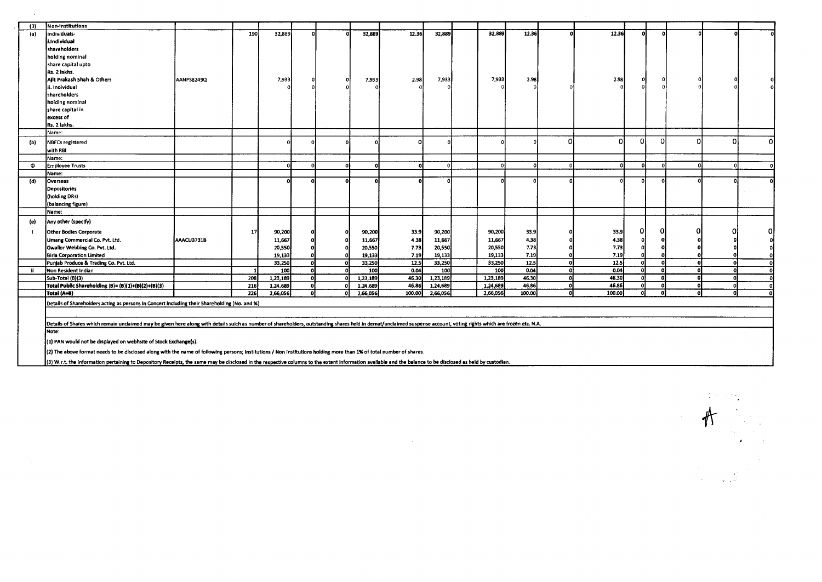| (3) | Non-Institutions                                                                                                                                                                                                              |            |     |          |          |          |        |          |          |                 |    |        |                   |          |          |          |  |
|-----|-------------------------------------------------------------------------------------------------------------------------------------------------------------------------------------------------------------------------------|------------|-----|----------|----------|----------|--------|----------|----------|-----------------|----|--------|-------------------|----------|----------|----------|--|
| (a) | ndividuals-                                                                                                                                                                                                                   |            | 190 | 32,889   |          | 32,889   | 12.36  | 32,889   |          | 32,889<br>12.36 |    | 12.36  | $\Omega$          | $\Omega$ |          |          |  |
|     | i.Individual                                                                                                                                                                                                                  |            |     |          |          |          |        |          |          |                 |    |        |                   |          |          |          |  |
|     | shareholders                                                                                                                                                                                                                  |            |     |          |          |          |        |          |          |                 |    |        |                   |          |          |          |  |
|     | holding nominal                                                                                                                                                                                                               |            |     |          |          |          |        |          |          |                 |    |        |                   |          |          |          |  |
|     | share capital upto                                                                                                                                                                                                            |            |     |          |          |          |        |          |          |                 |    |        |                   |          |          |          |  |
|     | Rs. 2 lakhs.                                                                                                                                                                                                                  |            |     |          |          |          |        |          |          |                 |    |        |                   |          |          |          |  |
|     | Ailt Prakash Shah & Others                                                                                                                                                                                                    | AANPS8249Q |     | 7,933    |          | 7,933    | 2.98   | 7,933    |          | 7,933<br>2.98   |    | 2.98   |                   |          |          |          |  |
|     | i. Individual                                                                                                                                                                                                                 |            |     |          |          |          |        |          |          |                 |    |        |                   |          |          |          |  |
|     | shareholders                                                                                                                                                                                                                  |            |     |          |          |          |        |          |          |                 |    |        |                   |          |          |          |  |
|     |                                                                                                                                                                                                                               |            |     |          |          |          |        |          |          |                 |    |        |                   |          |          |          |  |
|     | hoiding nominal                                                                                                                                                                                                               |            |     |          |          |          |        |          |          |                 |    |        |                   |          |          |          |  |
|     | share capital in                                                                                                                                                                                                              |            |     |          |          |          |        |          |          |                 |    |        |                   |          |          |          |  |
|     | excess of<br>Rs. 2 lakhs.                                                                                                                                                                                                     |            |     |          |          |          |        |          |          |                 |    |        |                   |          |          |          |  |
|     |                                                                                                                                                                                                                               |            |     |          |          |          |        |          |          |                 |    |        |                   |          |          |          |  |
|     | Name:                                                                                                                                                                                                                         |            |     |          |          |          |        |          |          |                 | n  | n      |                   |          |          |          |  |
| (b) | <b>NBFCs registered</b>                                                                                                                                                                                                       |            |     |          |          |          |        |          |          |                 |    |        | O                 | O        | $\Omega$ |          |  |
|     | with RBI                                                                                                                                                                                                                      |            |     |          |          |          |        |          |          |                 |    |        |                   |          |          |          |  |
|     | Name:                                                                                                                                                                                                                         |            |     |          |          |          |        |          |          |                 |    |        |                   |          |          |          |  |
| O   | Employee Trusts                                                                                                                                                                                                               |            |     |          | $\Omega$ | n        |        | -ni      |          | n               | D. | o      | -o.               |          |          |          |  |
|     | Name:                                                                                                                                                                                                                         |            |     |          |          |          |        |          |          |                 |    |        |                   |          |          |          |  |
| (d) | Overseas                                                                                                                                                                                                                      |            |     |          |          |          |        |          |          |                 |    |        |                   |          |          |          |  |
|     | Depositories                                                                                                                                                                                                                  |            |     |          |          |          |        |          |          |                 |    |        |                   |          |          |          |  |
|     | (holding DRs)                                                                                                                                                                                                                 |            |     |          |          |          |        |          |          |                 |    |        |                   |          |          |          |  |
|     | (balancing figure)                                                                                                                                                                                                            |            |     |          |          |          |        |          |          |                 |    |        |                   |          |          |          |  |
|     | Name:                                                                                                                                                                                                                         |            |     |          |          |          |        |          |          |                 |    |        |                   |          |          |          |  |
| (e) | Any other (specify)                                                                                                                                                                                                           |            |     |          |          |          |        |          |          |                 |    |        |                   |          |          |          |  |
|     | <b>Other Bodies Corporate</b>                                                                                                                                                                                                 |            | 17  | 90,200   |          | 90,200   | 33.9   | 90,200   | 90,200   | 33.9            |    | 33.9   | o                 |          |          |          |  |
|     | Umang Commercial Co. Pvt. Ltd.                                                                                                                                                                                                | AAACU3731B |     | 11,667   |          | 11,667   | 4.38   | 11,667   | 11,667   | 4.38            |    | 4.38   |                   |          |          |          |  |
|     | Gwallor Webbing Co. Pvt. Ltd.                                                                                                                                                                                                 |            |     | 20,550   |          | 20,550   | 7.73   | 20,550   | 20,550   | 7.73            |    | 7.73   |                   |          |          |          |  |
|     | <b>Birla Corporation Limited</b>                                                                                                                                                                                              |            |     | 19.133   |          | 19,133   | 7.19   | 19,133   | 19,133   | 7.19            |    | 7.19   |                   |          |          |          |  |
|     | Punjab Produce & Trading Co. Pvt. Ltd.                                                                                                                                                                                        |            |     | 33,250   |          | 33,250   | 12.5   | 33,250   | 33,250   | 12.5            | ol | 12.5   | n.                |          |          | $\Omega$ |  |
| ii. | Non Resident Indian                                                                                                                                                                                                           |            |     | 100      |          | 100      | 0.04   | 100      |          | 100<br>0.04     | ۵l | 0.04   | n                 |          |          |          |  |
|     | Sub-Total (B)(3)                                                                                                                                                                                                              |            | 208 | 1,23,189 |          | 1.23,189 | 46.30  | 1,23,189 | 1,23,189 | 46.30           |    | 46.30  |                   |          |          |          |  |
|     | Total Public Shareholding (B)= (B)(1)+(B)(2)+(B)(3)                                                                                                                                                                           |            | 216 | 1,24,689 |          | 1,24,689 | 46.86  | 1,24,689 | 1,24,689 | 46.86           | Ωi | 46.86  |                   |          |          | $\Omega$ |  |
|     | Total (A+B)                                                                                                                                                                                                                   |            | 226 | 2,66,056 |          | 2,66,056 | 100.00 | 2,66,056 | 2,66,056 | 100.00          | ΩI | 100.00 | $\mathbf{\Omega}$ |          |          |          |  |
|     | Details of Sharehoiders acting as persons in Concert including their Shareholding (No. and %)                                                                                                                                 |            |     |          |          |          |        |          |          |                 |    |        |                   |          |          |          |  |
|     |                                                                                                                                                                                                                               |            |     |          |          |          |        |          |          |                 |    |        |                   |          |          |          |  |
|     |                                                                                                                                                                                                                               |            |     |          |          |          |        |          |          |                 |    |        |                   |          |          |          |  |
|     | Details of Shares which remain unclaimed may be given here along with details suich as number of shareholders, outstanding shares held in demat/unclaimed suspense account, voting rights which are frozen etc. N.A.<br>Note: |            |     |          |          |          |        |          |          |                 |    |        |                   |          |          |          |  |
|     |                                                                                                                                                                                                                               |            |     |          |          |          |        |          |          |                 |    |        |                   |          |          |          |  |
|     | (1) PAN would not be displayed on webhsite of Stock Exchange(s).                                                                                                                                                              |            |     |          |          |          |        |          |          |                 |    |        |                   |          |          |          |  |
|     | (2) The above format needs to be disclosed along with the name of following persons; institutions / Non institutions holding more than 1% of total number of shares.                                                          |            |     |          |          |          |        |          |          |                 |    |        |                   |          |          |          |  |
|     | (3) W.r.t. the information pertaining to Depository Receipts, the same may be disclosed in the respective columns to the extent information available and the balance to be disclosed as held by custodian.                   |            |     |          |          |          |        |          |          |                 |    |        |                   |          |          |          |  |

 $\mathcal{L}^{\text{max}}$  , where  $\mathcal{L}^{\text{max}}$ 

 $\sim 140$  and  $\sim 100$ 

 $#$ 

 $\sim 10^7$ 

 $\sim$